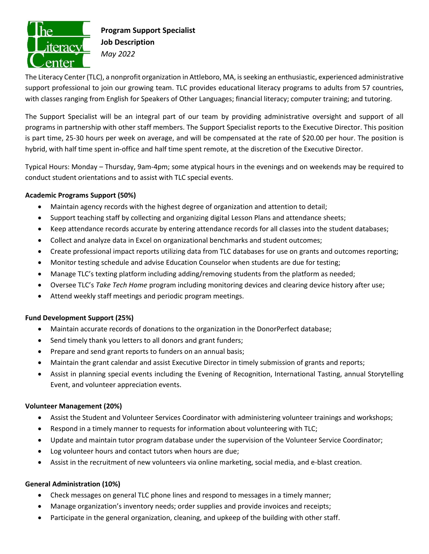

# **Program Support Specialist Job Description** *May 2022*

The Literacy Center (TLC), a nonprofit organization in Attleboro, MA, is seeking an enthusiastic, experienced administrative support professional to join our growing team. TLC provides educational literacy programs to adults from 57 countries, with classes ranging from English for Speakers of Other Languages; financial literacy; computer training; and tutoring.

The Support Specialist will be an integral part of our team by providing administrative oversight and support of all programs in partnership with other staff members. The Support Specialist reports to the Executive Director. This position is part time, 25-30 hours per week on average, and will be compensated at the rate of \$20.00 per hour. The position is hybrid, with half time spent in-office and half time spent remote, at the discretion of the Executive Director.

Typical Hours: Monday – Thursday, 9am-4pm; some atypical hours in the evenings and on weekends may be required to conduct student orientations and to assist with TLC special events.

## **Academic Programs Support (50%)**

- Maintain agency records with the highest degree of organization and attention to detail;
- Support teaching staff by collecting and organizing digital Lesson Plans and attendance sheets;
- Keep attendance records accurate by entering attendance records for all classes into the student databases;
- Collect and analyze data in Excel on organizational benchmarks and student outcomes;
- Create professional impact reports utilizing data from TLC databases for use on grants and outcomes reporting;
- Monitor testing schedule and advise Education Counselor when students are due for testing;
- Manage TLC's texting platform including adding/removing students from the platform as needed;
- Oversee TLC's *Take Tech Home* program including monitoring devices and clearing device history after use;
- Attend weekly staff meetings and periodic program meetings.

## **Fund Development Support (25%)**

- Maintain accurate records of donations to the organization in the DonorPerfect database;
- Send timely thank you letters to all donors and grant funders;
- Prepare and send grant reports to funders on an annual basis;
- Maintain the grant calendar and assist Executive Director in timely submission of grants and reports;
- Assist in planning special events including the Evening of Recognition, International Tasting, annual Storytelling Event, and volunteer appreciation events.

## **Volunteer Management (20%)**

- Assist the Student and Volunteer Services Coordinator with administering volunteer trainings and workshops;
- Respond in a timely manner to requests for information about volunteering with TLC;
- Update and maintain tutor program database under the supervision of the Volunteer Service Coordinator;
- Log volunteer hours and contact tutors when hours are due;
- Assist in the recruitment of new volunteers via online marketing, social media, and e-blast creation.

## **General Administration (10%)**

- Check messages on general TLC phone lines and respond to messages in a timely manner;
- Manage organization's inventory needs; order supplies and provide invoices and receipts;
- Participate in the general organization, cleaning, and upkeep of the building with other staff.